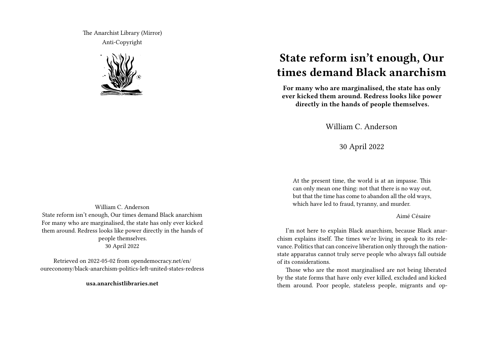The Anarchist Library (Mirror) Anti-Copyright



## **State reform isn't enough, Our times demand Black anarchism**

**For many who are marginalised, the state has only ever kicked them around. Redress looks like power directly in the hands of people themselves.**

William C. Anderson

30 April 2022

At the present time, the world is at an impasse. This can only mean one thing: not that there is no way out, but that the time has come to abandon all the old ways, which have led to fraud, tyranny, and murder.

## Aimé Césaire

I'm not here to explain Black anarchism, because Black anarchism explains itself. The times we're living in speak to its relevance. Politics that can conceive liberation only through the nationstate apparatus cannot truly serve people who always fall outside of its considerations.

Those who are the most marginalised are not being liberated by the state forms that have only ever killed, excluded and kicked them around. Poor people, stateless people, migrants and op-

William C. Anderson State reform isn't enough, Our times demand Black anarchism For many who are marginalised, the state has only ever kicked them around. Redress looks like power directly in the hands of people themselves. 30 April 2022

Retrieved on 2022-05-02 from opendemocracy.net/en/ oureconomy/black-anarchism-politics-left-united-states-redress

**usa.anarchistlibraries.net**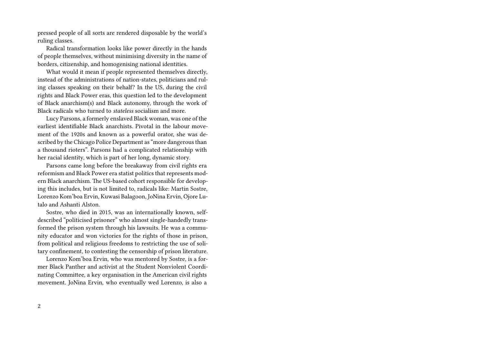pressed people of all sorts are rendered disposable by the world's ruling classes.

Radical transformation looks like power directly in the hands of people themselves, without minimising diversity in the name of borders, citizenship, and homogenising national identities.

What would it mean if people represented themselves directly, instead of the administrations of nation-states, politicians and ruling classes speaking on their behalf? In the US, during the civil rights and Black Power eras, this question led to the development of Black anarchism(s) and Black autonomy, through the work of Black radicals who turned to *stateless* socialism and more.

Lucy Parsons, a formerly enslaved Black woman, was one of the earliest identifiable Black anarchists. Pivotal in the labour movement of the 1920s and known as a powerful orator, she was described by the Chicago Police Department as "more dangerous than a thousand rioters". Parsons had a complicated relationship with her racial identity, which is part of her long, dynamic story.

Parsons came long before the breakaway from civil rights era reformism and Black Power era statist politics that represents modern Black anarchism. The US-based cohort responsible for developing this includes, but is not limited to, radicals like: Martin Sostre, Lorenzo Kom'boa Ervin, Kuwasi Balagoon, JoNina Ervin, Ojore Lutalo and Ashanti Alston.

Sostre, who died in 2015, was an internationally known, selfdescribed "politicised prisoner" who almost single-handedly transformed the prison system through his lawsuits. He was a community educator and won victories for the rights of those in prison, from political and religious freedoms to restricting the use of solitary confinement, to contesting the censorship of prison literature.

Lorenzo Kom'boa Ervin, who was mentored by Sostre, is a former Black Panther and activist at the Student Nonviolent Coordinating Committee, a key organisation in the American civil rights movement. JoNina Ervin, who eventually wed Lorenzo, is also a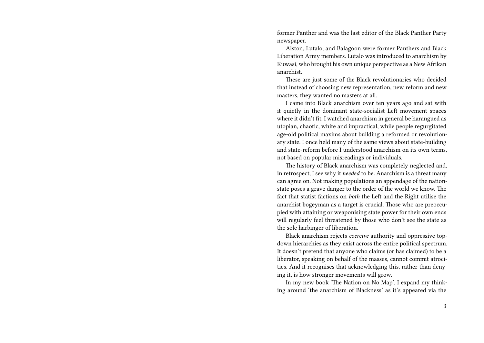former Panther and was the last editor of the Black Panther Party newspaper.

Alston, Lutalo, and Balagoon were former Panthers and Black Liberation Army members. Lutalo was introduced to anarchism by Kuwasi, who brought his own unique perspective as a New Afrikan anarchist.

These are just some of the Black revolutionaries who decided that instead of choosing new representation, new reform and new masters, they wanted no masters at all.

I came into Black anarchism over ten years ago and sat with it quietly in the dominant state-socialist Left movement spaces where it didn't fit. I watched anarchism in general be harangued as utopian, chaotic, white and impractical, while people regurgitated age-old political maxims about building a reformed or revolutionary state. I once held many of the same views about state-building and state-reform before I understood anarchism on its own terms, not based on popular misreadings or individuals.

The history of Black anarchism was completely neglected and, in retrospect, I see why it *needed* to be. Anarchism is a threat many can agree on. Not making populations an appendage of the nationstate poses a grave danger to the order of the world we know. The fact that statist factions on *both* the Left and the Right utilise the anarchist bogeyman as a target is crucial. Those who are preoccupied with attaining or weaponising state power for their own ends will regularly feel threatened by those who don't see the state as the sole harbinger of liberation.

Black anarchism rejects *coercive* authority and oppressive topdown hierarchies as they exist across the entire political spectrum. It doesn't pretend that anyone who claims (or has claimed) to be a liberator, speaking on behalf of the masses, cannot commit atrocities. And it recognises that acknowledging this, rather than denying it, is how stronger movements will grow.

In my new book 'The Nation on No Map', I expand my thinking around 'the anarchism of Blackness' as it's appeared via the